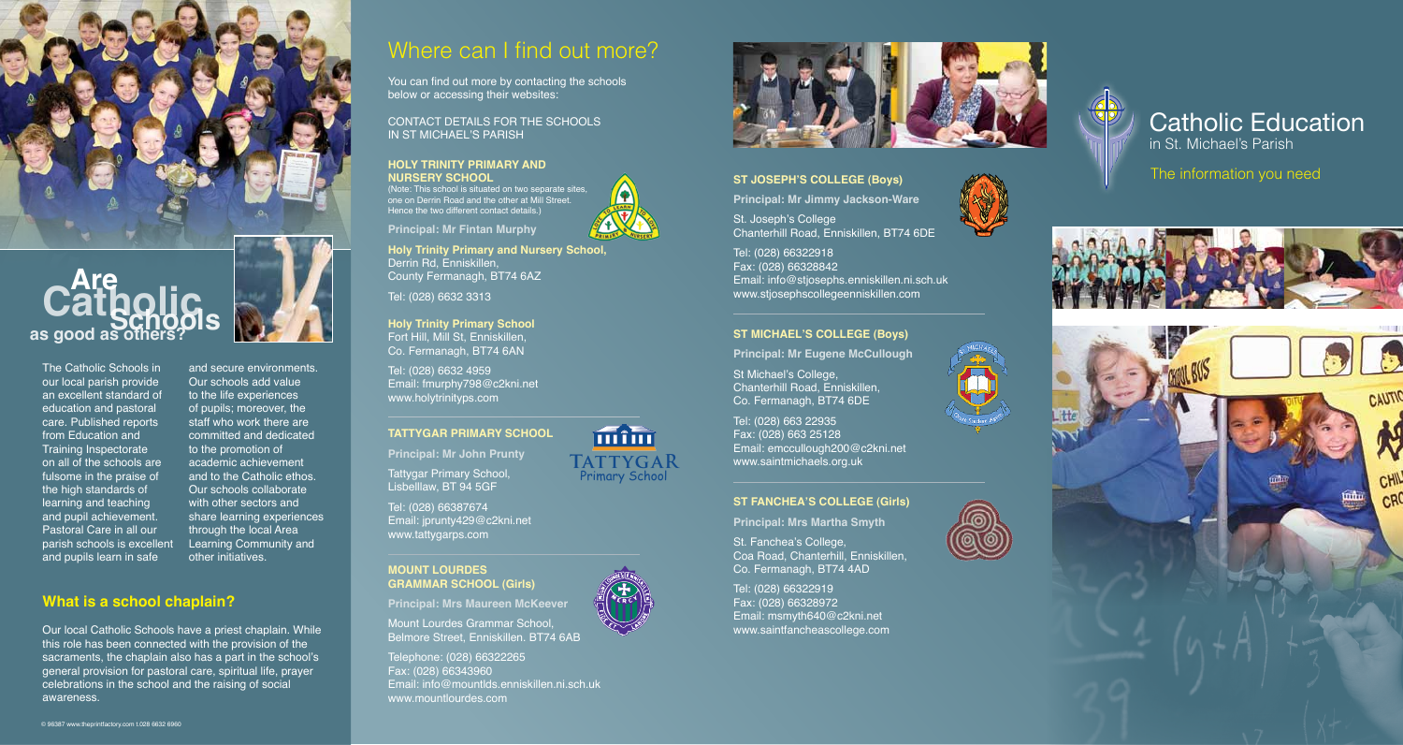

and secure environments. Our schools add value to the life experiences of pupils; moreover, the staff who work there are committed and dedicated to the promotion of academic achievement and to the Catholic ethos. Our schools collaborate with other sectors and share learning experiences through the local Area Learning Community and

other initiatives.



The Catholic Schools in our local parish provide an excellent standard of education and pastoral care. Published reports from Education and Training Inspectorate on all of the schools are fulsome in the praise of the high standards of learning and teaching and pupil achievement. Pastoral Care in all our parish schools is excellent and pupils learn in safe

## **What is a school chaplain?**

Our local Catholic Schools have a priest chaplain. While this role has been connected with the provision of the sacraments, the chaplain also has a part in the school's general provision for pastoral care, spiritual life, prayer celebrations in the school and the raising of social awareness.

# Where can I find out more?

You can find out more by contacting the schools below or accessing their websites:

CONTACT DETAILS FOR THE SCHOOLS IN ST MICHAEL'S PARISH

# **HOLY TRINITY PRIMARY AND**

**Principal: Mr Fintan Murphy**

**NURSERY SCHOOL** (Note: This school is situated on two separate sites, one on Derrin Road and the other at Mill Street. Hence the two different contact details.)



**TATTYGAR** Primary School

mîm

**Holy Trinity Primary and Nursery School,**  Derrin Rd, Enniskillen, County Fermanagh, BT74 6AZ

Tel: (028) 6632 3313

**Holy Trinity Primary School** Fort Hill, Mill St, Enniskillen, Co. Fermanagh, BT74 6AN

Tel: (028) 6632 4959 Email: fmurphy798@c2kni.net www.holytrinityps.com

**TATTYGAR PRIMARY SCHOOL Principal: Mr John Prunty**

Tattygar Primary School, Lisbelllaw, BT 94 5GF

Tel: (028) 66387674 Email: jprunty429@c2kni.net www.tattygarps.com

#### **MOUNT LOURDES GRAMMAR SCHOOL (Girls)**

**Principal: Mrs Maureen McKeever**

Mount Lourdes Grammar School, Belmore Street, Enniskillen. BT74 6AB

Telephone: (028) 66322265 Fax: (028) 66343960 Email: info@mountlds.enniskillen.ni.sch.uk www.mountlourdes.com



E N IS  $\mathbb{C}$ 

**SAINT** H 'S COLLEGE

### **ST JOSEPH'S COLLEGE (Boys)**

**Principal: Mr Jimmy Jackson-Ware**

St. Joseph's College Chanterhill Road, Enniskillen, BT74 6DE

Tel: (028) 66322918 Fax: (028) 66328842 Email: info@stjosephs.enniskillen.ni.sch.uk www.stjosephscollegeenniskillen.com

#### **ST MICHAEL'S COLLEGE (Boys)**

**Principal: Mr Eugene McCullough**

St Michael's College, Chanterhill Road, Enniskillen, Co. Fermanagh, BT74 6DE

Tel: (028) 663 22935 Fax: (028) 663 25128 Email: emccullough200@c2kni.net www.saintmichaels.org.uk

#### **ST FANCHEA'S COLLEGE (Girls)**

**Principal: Mrs Martha Smyth**

St. Fanchea's College, Coa Road, Chanterhill, Enniskillen, Co. Fermanagh, BT74 4AD

Tel: (028) 66322919 Fax: (028) 66328972 Email: msmyth640@c2kni.net www.saintfancheascollege.com



# Catholic Education in St. Michael's Parish

The information you need